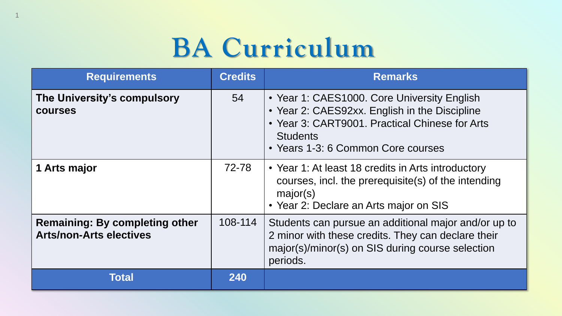# **BA Curriculum**

1

| <b>Requirements</b>                                                     | <b>Credits</b> | <b>Remarks</b>                                                                                                                                                                                          |
|-------------------------------------------------------------------------|----------------|---------------------------------------------------------------------------------------------------------------------------------------------------------------------------------------------------------|
| The University's compulsory<br><b>COUISES</b>                           | 54             | • Year 1: CAES1000. Core University English<br>• Year 2: CAES92xx. English in the Discipline<br>• Year 3: CART9001. Practical Chinese for Arts<br><b>Students</b><br>• Years 1-3: 6 Common Core courses |
| 1 Arts major                                                            | 72-78          | • Year 1: At least 18 credits in Arts introductory<br>courses, incl. the prerequisite(s) of the intending<br>major(s)<br>• Year 2: Declare an Arts major on SIS                                         |
| <b>Remaining: By completing other</b><br><b>Arts/non-Arts electives</b> | 108-114        | Students can pursue an additional major and/or up to<br>2 minor with these credits. They can declare their<br>major(s)/minor(s) on SIS during course selection<br>periods.                              |
| Total                                                                   | 240            |                                                                                                                                                                                                         |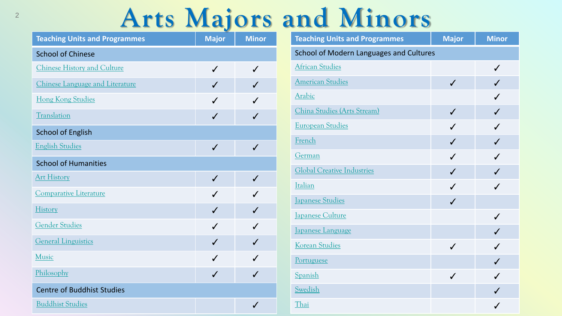### **Arts Majors and Minors**

| <b>Teaching Units and Programmes</b> | <b>Major</b> | <b>Minor</b> |
|--------------------------------------|--------------|--------------|
| <b>School of Chinese</b>             |              |              |
| <b>Chinese History and Culture</b>   | $\checkmark$ | $\checkmark$ |
| Chinese Language and Literature      | $\checkmark$ |              |
| <b>Hong Kong Studies</b>             | $\checkmark$ |              |
| Translation                          | $\checkmark$ | $\checkmark$ |
| <b>School of English</b>             |              |              |
| <b>English Studies</b>               | $\checkmark$ | $\checkmark$ |
| <b>School of Humanities</b>          |              |              |
| <b>Art History</b>                   | $\checkmark$ |              |
| <b>Comparative Literature</b>        | $\checkmark$ | ✓            |
| History                              | $\checkmark$ | $\checkmark$ |
| <b>Gender Studies</b>                | $\checkmark$ | ✓            |
| <b>General Linguistics</b>           | $\checkmark$ | ✓            |
| Music                                | $\checkmark$ |              |
| Philosophy                           | $\checkmark$ |              |
| <b>Centre of Buddhist Studies</b>    |              |              |
| <b>Buddhist Studies</b>              |              | ✓            |

| <b>Teaching Units and Programmes</b>           | <b>Major</b> | <b>Minor</b> |  |  |
|------------------------------------------------|--------------|--------------|--|--|
| <b>School of Modern Languages and Cultures</b> |              |              |  |  |
| <b>African Studies</b>                         |              | $\checkmark$ |  |  |
| <b>American Studies</b>                        | $\checkmark$ | $\checkmark$ |  |  |
| Arabic                                         |              | $\checkmark$ |  |  |
| China Studies (Arts Stream)                    | $\checkmark$ | $\checkmark$ |  |  |
| <b>European Studies</b>                        | $\checkmark$ | $\checkmark$ |  |  |
| French                                         | $\checkmark$ | $\checkmark$ |  |  |
| German                                         | $\checkmark$ | $\checkmark$ |  |  |
| <b>Global Creative Industries</b>              | $\checkmark$ | $\checkmark$ |  |  |
| Italian                                        | $\checkmark$ | $\checkmark$ |  |  |
| <b>Japanese Studies</b>                        | $\checkmark$ |              |  |  |
| Japanese Culture                               |              | $\checkmark$ |  |  |
| Japanese Language                              |              | $\checkmark$ |  |  |
| Korean Studies                                 | $\checkmark$ | $\checkmark$ |  |  |
| Portuguese                                     |              | $\checkmark$ |  |  |
| Spanish                                        | $\checkmark$ | ✓            |  |  |
| Swedish                                        |              | $\checkmark$ |  |  |
| Thai                                           |              | ✔            |  |  |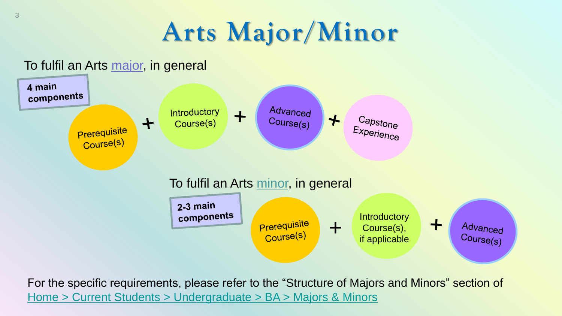# **Arts Major/Minor**

#### To fulfil an Arts major, in general



For the specific requirements, please refer to the "Structure of Majors and Minors" section of [Home > Current Students > Undergraduate > BA > Majors & Minors](http://arts.hku.hk/current-students/undergraduate/BA/majors-minors)

3